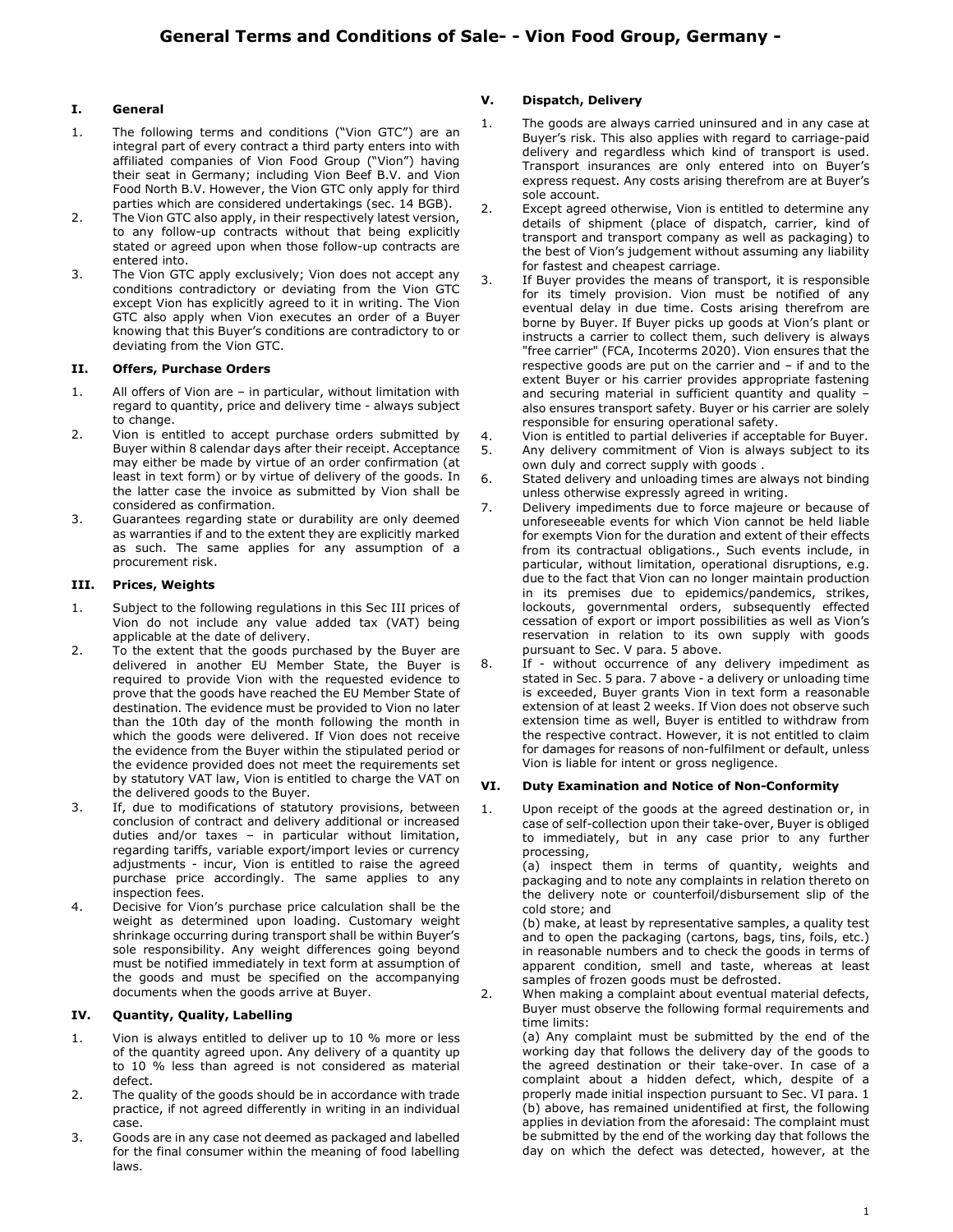# I. General

- 1. The following terms and conditions ("Vion GTC") are an integral part of every contract a third party enters into with affiliated companies of Vion Food Group ("Vion") having their seat in Germany; including Vion Beef B.V. and Vion Food North B.V. However, the Vion GTC only apply for third parties which are considered undertakings (sec. 14 BGB).
- 2. The Vion GTC also apply, in their respectively latest version, to any follow-up contracts without that being explicitly stated or agreed upon when those follow-up contracts are entered into.
- 3. The Vion GTC apply exclusively; Vion does not accept any conditions contradictory or deviating from the Vion GTC except Vion has explicitly agreed to it in writing. The Vion GTC also apply when Vion executes an order of a Buyer knowing that this Buyer's conditions are contradictory to or deviating from the Vion GTC.

### II. Offers, Purchase Orders

- 1. All offers of Vion are in particular, without limitation with regard to quantity, price and delivery time - always subject to change.
- 2. Vion is entitled to accept purchase orders submitted by Buyer within 8 calendar days after their receipt. Acceptance may either be made by virtue of an order confirmation (at least in text form) or by virtue of delivery of the goods. In the latter case the invoice as submitted by Vion shall be considered as confirmation.
- 3. Guarantees regarding state or durability are only deemed as warranties if and to the extent they are explicitly marked as such. The same applies for any assumption of a procurement risk.

### III. Prices, Weights

- 1. Subject to the following regulations in this Sec III prices of Vion do not include any value added tax (VAT) being applicable at the date of delivery.
- 2. To the extent that the goods purchased by the Buyer are delivered in another EU Member State, the Buyer is required to provide Vion with the requested evidence to prove that the goods have reached the EU Member State of destination. The evidence must be provided to Vion no later than the 10th day of the month following the month in which the goods were delivered. If Vion does not receive the evidence from the Buyer within the stipulated period or the evidence provided does not meet the requirements set by statutory VAT law, Vion is entitled to charge the VAT on the delivered goods to the Buyer.
- 3. If, due to modifications of statutory provisions, between conclusion of contract and delivery additional or increased duties and/or taxes – in particular without limitation, regarding tariffs, variable export/import levies or currency adjustments - incur, Vion is entitled to raise the agreed purchase price accordingly. The same applies to any inspection fees.
- 4. Decisive for Vion's purchase price calculation shall be the weight as determined upon loading. Customary weight shrinkage occurring during transport shall be within Buyer's sole responsibility. Any weight differences going beyond must be notified immediately in text form at assumption of the goods and must be specified on the accompanying documents when the goods arrive at Buyer.

# IV. Quantity, Quality, Labelling

- 1. Vion is always entitled to deliver up to 10 % more or less of the quantity agreed upon. Any delivery of a quantity up to 10 % less than agreed is not considered as material defect.
- 2. The quality of the goods should be in accordance with trade practice, if not agreed differently in writing in an individual case.
- 3. Goods are in any case not deemed as packaged and labelled for the final consumer within the meaning of food labelling laws.

# V. Dispatch, Delivery

- 1. The goods are always carried uninsured and in any case at Buyer's risk. This also applies with regard to carriage-paid delivery and regardless which kind of transport is used. Transport insurances are only entered into on Buyer's express request. Any costs arising therefrom are at Buyer's sole account.
- 2. Except agreed otherwise, Vion is entitled to determine any details of shipment (place of dispatch, carrier, kind of transport and transport company as well as packaging) to the best of Vion's judgement without assuming any liability for fastest and cheapest carriage.
- 3. If Buyer provides the means of transport, it is responsible for its timely provision. Vion must be notified of any eventual delay in due time. Costs arising therefrom are borne by Buyer. If Buyer picks up goods at Vion's plant or instructs a carrier to collect them, such delivery is always "free carrier" (FCA, Incoterms 2020). Vion ensures that the respective goods are put on the carrier and – if and to the extent Buyer or his carrier provides appropriate fastening and securing material in sufficient quantity and quality – also ensures transport safety. Buyer or his carrier are solely responsible for ensuring operational safety.
- 4. Vion is entitled to partial deliveries if acceptable for Buyer.
- 5. Any delivery commitment of Vion is always subject to its own duly and correct supply with goods .
- 6. Stated delivery and unloading times are always not binding unless otherwise expressly agreed in writing.
- 7. Delivery impediments due to force majeure or because of unforeseeable events for which Vion cannot be held liable for exempts Vion for the duration and extent of their effects from its contractual obligations., Such events include, in particular, without limitation, operational disruptions, e.g. due to the fact that Vion can no longer maintain production in its premises due to epidemics/pandemics, strikes, lockouts, governmental orders, subsequently effected cessation of export or import possibilities as well as Vion's reservation in relation to its own supply with goods pursuant to Sec. V para. 5 above.
- 8. If without occurrence of any delivery impediment as stated in Sec. 5 para. 7 above - a delivery or unloading time is exceeded, Buyer grants Vion in text form a reasonable extension of at least 2 weeks. If Vion does not observe such extension time as well, Buyer is entitled to withdraw from the respective contract. However, it is not entitled to claim for damages for reasons of non-fulfilment or default, unless Vion is liable for intent or gross negligence.

# VI. Duty Examination and Notice of Non-Conformity

1. Upon receipt of the goods at the agreed destination or, in case of self-collection upon their take-over, Buyer is obliged to immediately, but in any case prior to any further processing,

 (a) inspect them in terms of quantity, weights and packaging and to note any complaints in relation thereto on the delivery note or counterfoil/disbursement slip of the cold store; and

 (b) make, at least by representative samples, a quality test and to open the packaging (cartons, bags, tins, foils, etc.) in reasonable numbers and to check the goods in terms of apparent condition, smell and taste, whereas at least samples of frozen goods must be defrosted.

2. When making a complaint about eventual material defects, Buyer must observe the following formal requirements and time limits:

 (a) Any complaint must be submitted by the end of the working day that follows the delivery day of the goods to the agreed destination or their take-over. In case of a complaint about a hidden defect, which, despite of a properly made initial inspection pursuant to Sec. VI para. 1 (b) above, has remained unidentified at first, the following applies in deviation from the aforesaid: The complaint must be submitted by the end of the working day that follows the day on which the defect was detected, however, at the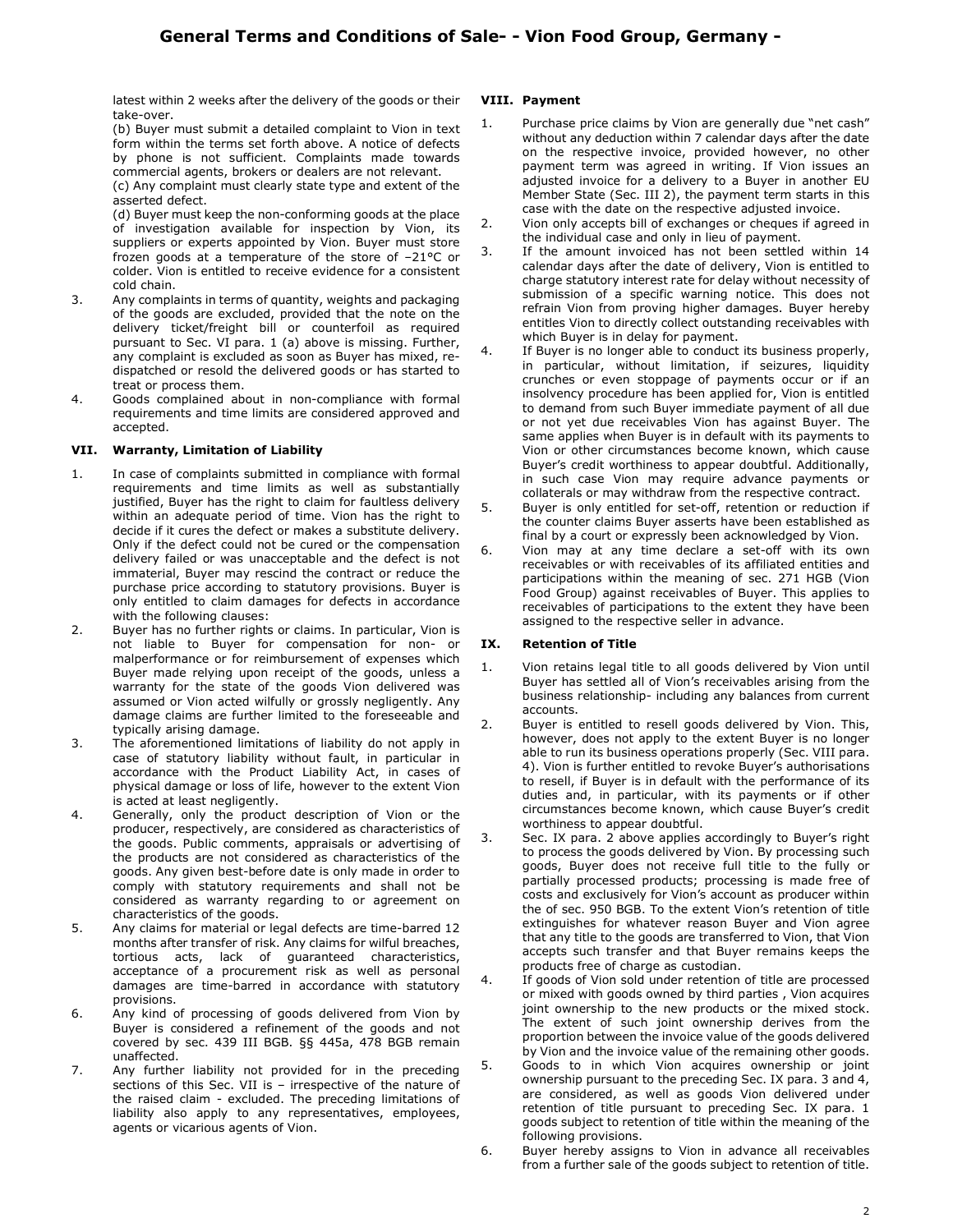latest within 2 weeks after the delivery of the goods or their take-over.

 (b) Buyer must submit a detailed complaint to Vion in text form within the terms set forth above. A notice of defects by phone is not sufficient. Complaints made towards commercial agents, brokers or dealers are not relevant.

 (c) Any complaint must clearly state type and extent of the asserted defect.

 (d) Buyer must keep the non-conforming goods at the place of investigation available for inspection by Vion, its suppliers or experts appointed by Vion. Buyer must store frozen goods at a temperature of the store of –21°C or colder. Vion is entitled to receive evidence for a consistent cold chain.

- 3. Any complaints in terms of quantity, weights and packaging of the goods are excluded, provided that the note on the delivery ticket/freight bill or counterfoil as required pursuant to Sec. VI para. 1 (a) above is missing. Further, any complaint is excluded as soon as Buyer has mixed, redispatched or resold the delivered goods or has started to treat or process them.
- 4. Goods complained about in non-compliance with formal requirements and time limits are considered approved and accepted.

# VII. Warranty, Limitation of Liability

- 1. In case of complaints submitted in compliance with formal requirements and time limits as well as substantially justified, Buyer has the right to claim for faultless delivery within an adequate period of time. Vion has the right to decide if it cures the defect or makes a substitute delivery. Only if the defect could not be cured or the compensation delivery failed or was unacceptable and the defect is not immaterial, Buyer may rescind the contract or reduce the purchase price according to statutory provisions. Buyer is only entitled to claim damages for defects in accordance with the following clauses:
- 2. Buyer has no further rights or claims. In particular, Vion is not liable to Buyer for compensation for non- or malperformance or for reimbursement of expenses which Buyer made relying upon receipt of the goods, unless a warranty for the state of the goods Vion delivered was assumed or Vion acted wilfully or grossly negligently. Any damage claims are further limited to the foreseeable and typically arising damage.
- 3. The aforementioned limitations of liability do not apply in case of statutory liability without fault, in particular in accordance with the Product Liability Act, in cases of physical damage or loss of life, however to the extent Vion is acted at least negligently.
- 4. Generally, only the product description of Vion or the producer, respectively, are considered as characteristics of the goods. Public comments, appraisals or advertising of the products are not considered as characteristics of the goods. Any given best-before date is only made in order to comply with statutory requirements and shall not be considered as warranty regarding to or agreement on characteristics of the goods.
- 5. Any claims for material or legal defects are time-barred 12 months after transfer of risk. Any claims for wilful breaches, tortious acts, lack of guaranteed characteristics, acceptance of a procurement risk as well as personal damages are time-barred in accordance with statutory provisions.
- 6. Any kind of processing of goods delivered from Vion by Buyer is considered a refinement of the goods and not covered by sec. 439 III BGB. §§ 445a, 478 BGB remain unaffected.
- 7. Any further liability not provided for in the preceding sections of this Sec. VII is – irrespective of the nature of the raised claim - excluded. The preceding limitations of liability also apply to any representatives, employees, agents or vicarious agents of Vion.

### VIII. Payment

- 1. Purchase price claims by Vion are generally due "net cash" without any deduction within 7 calendar days after the date on the respective invoice, provided however, no other payment term was agreed in writing. If Vion issues an adjusted invoice for a delivery to a Buyer in another EU Member State (Sec. III 2), the payment term starts in this case with the date on the respective adjusted invoice.
- 2. Vion only accepts bill of exchanges or cheques if agreed in the individual case and only in lieu of payment.
- 3. If the amount invoiced has not been settled within 14 calendar days after the date of delivery, Vion is entitled to charge statutory interest rate for delay without necessity of submission of a specific warning notice. This does not refrain Vion from proving higher damages. Buyer hereby entitles Vion to directly collect outstanding receivables with which Buyer is in delay for payment.
- 4. If Buyer is no longer able to conduct its business properly, in particular, without limitation, if seizures, liquidity crunches or even stoppage of payments occur or if an insolvency procedure has been applied for, Vion is entitled to demand from such Buyer immediate payment of all due or not yet due receivables Vion has against Buyer. The same applies when Buyer is in default with its payments to Vion or other circumstances become known, which cause Buyer's credit worthiness to appear doubtful. Additionally, in such case Vion may require advance payments or collaterals or may withdraw from the respective contract.
- 5. Buyer is only entitled for set-off, retention or reduction if the counter claims Buyer asserts have been established as final by a court or expressly been acknowledged by Vion.
- 6. Vion may at any time declare a set-off with its own receivables or with receivables of its affiliated entities and participations within the meaning of sec. 271 HGB (Vion Food Group) against receivables of Buyer. This applies to receivables of participations to the extent they have been assigned to the respective seller in advance.

### IX. Retention of Title

- 1. Vion retains legal title to all goods delivered by Vion until Buyer has settled all of Vion's receivables arising from the business relationship- including any balances from current accounts.
- 2. Buyer is entitled to resell goods delivered by Vion. This, however, does not apply to the extent Buyer is no longer able to run its business operations properly (Sec. VIII para. 4). Vion is further entitled to revoke Buyer's authorisations to resell, if Buyer is in default with the performance of its duties and, in particular, with its payments or if other circumstances become known, which cause Buyer's credit worthiness to appear doubtful.
- 3. Sec. IX para. 2 above applies accordingly to Buyer's right to process the goods delivered by Vion. By processing such goods, Buyer does not receive full title to the fully or partially processed products; processing is made free of costs and exclusively for Vion's account as producer within the of sec. 950 BGB. To the extent Vion's retention of title extinguishes for whatever reason Buyer and Vion agree that any title to the goods are transferred to Vion, that Vion accepts such transfer and that Buyer remains keeps the products free of charge as custodian.
- 4. If goods of Vion sold under retention of title are processed or mixed with goods owned by third parties , Vion acquires joint ownership to the new products or the mixed stock. The extent of such joint ownership derives from the proportion between the invoice value of the goods delivered by Vion and the invoice value of the remaining other goods.
- 5. Goods to in which Vion acquires ownership or joint ownership pursuant to the preceding Sec. IX para. 3 and 4, are considered, as well as goods Vion delivered under retention of title pursuant to preceding Sec. IX para. 1 goods subject to retention of title within the meaning of the following provisions.
- 6. Buyer hereby assigns to Vion in advance all receivables from a further sale of the goods subject to retention of title.